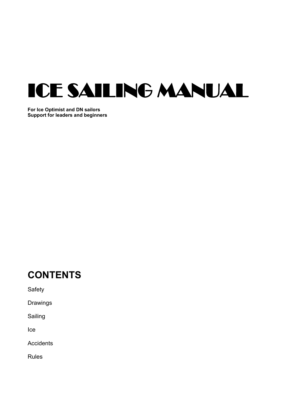

**For Ice Optimist and DN sailors Support for leaders and beginners**

# **CONTENTS**

Safety

Drawings

Sailing

Ice

**Accidents** 

Rules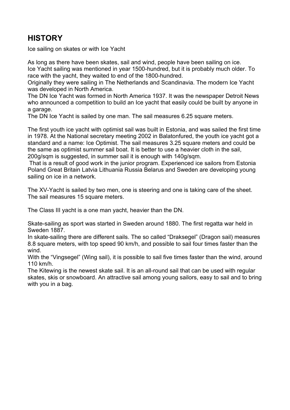## **HISTORY**

Ice sailing on skates or with Ice Yacht

As long as there have been skates, sail and wind, people have been sailing on ice. Ice Yacht sailing was mentioned in year 1500-hundred, but it is probably much older. To race with the yacht, they waited to end of the 1800-hundred.

Originally they were sailing in The Netherlands and Scandinavia. The modern Ice Yacht was developed in North America.

The DN Ice Yacht was formed in North America 1937. It was the newspaper Detroit News who announced a competition to build an Ice yacht that easily could be built by anyone in a garage.

The DN Ice Yacht is sailed by one man. The sail measures 6.25 square meters.

The first youth ice yacht with optimist sail was built in Estonia, and was sailed the first time in 1978. At the National secretary meeting 2002 in Balatonfured, the youth ice yacht got a standard and a name: Ice Optimist. The sail measures 3.25 square meters and could be the same as optimist summer sail boat. It is better to use a heavier cloth in the sail, 200g/sqm is suggested, in summer sail it is enough with 140g/sqm.

That is a result of good work in the junior program. Experienced ice sailors from Estonia Poland Great Britain Latvia Lithuania Russia Belarus and Sweden are developing young sailing on ice in a network.

The XV-Yacht is sailed by two men, one is steering and one is taking care of the sheet. The sail measures 15 square meters.

The Class III yacht is a one man yacht, heavier than the DN.

Skate-sailing as sport was started in Sweden around 1880. The first regatta war held in Sweden 1887.

In skate-sailing there are different sails. The so called "Draksegel" (Dragon sail) measures 8.8 square meters, with top speed 90 km/h, and possible to sail four times faster than the wind.

With the "Vingsegel" (Wing sail), it is possible to sail five times faster than the wind, around 110 km/h.

The Kitewing is the newest skate sail. It is an all-round sail that can be used with regular skates, skis or snowboard. An attractive sail among young sailors, easy to sail and to bring with you in a bag.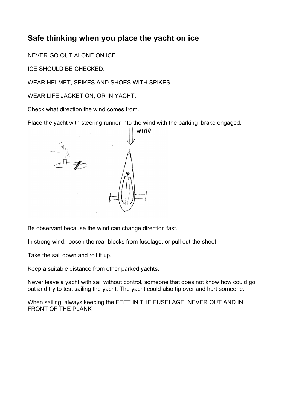## **Safe thinking when you place the yacht on ice**

NEVER GO OUT ALONE ON ICE.

ICE SHOULD BE CHECKED.

WEAR HELMET, SPIKES AND SHOES WITH SPIKES.

WEAR LIFE JACKET ON, OR IN YACHT.

Check what direction the wind comes from.

Place the yacht with steering runner into the wind with the parking brake engaged.



Be observant because the wind can change direction fast.

In strong wind, loosen the rear blocks from fuselage, or pull out the sheet.

Take the sail down and roll it up.

Keep a suitable distance from other parked yachts.

Never leave a yacht with sail without control, someone that does not know how could go out and try to test sailing the yacht. The yacht could also tip over and hurt someone.

When sailing, always keeping the FEET IN THE FUSELAGE, NEVER OUT AND IN FRONT OF THE PLANK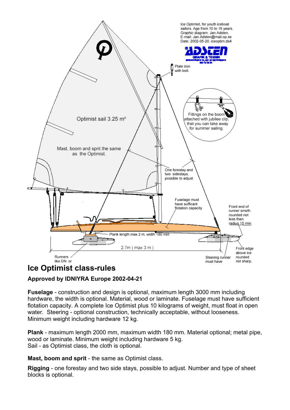

### **Ice Optimist class-rules**

### **Approved by IDNIYRA Europe 2002-04-21**

**Fuselage** - construction and design is optional, maximum length 3000 mm including hardware, the width is optional. Material, wood or laminate. Fuselage must have sufficient flotation capacity. A complete Ice Optimist plus 10 kilograms of weight, must float in open water. Steering - optional construction, technically acceptable, without looseness. Minimum weight including hardware 12 kg.

**Plank** - maximum length 2000 mm, maximum width 180 mm. Material optional; metal pipe, wood or laminate. Minimum weight including hardware 5 kg. Sail - as Optimist class, the cloth is optional.

**Mast, boom and sprit** - the same as Optimist class.

**Rigging** - one forestay and two side stays, possible to adjust. Number and type of sheet blocks is optional.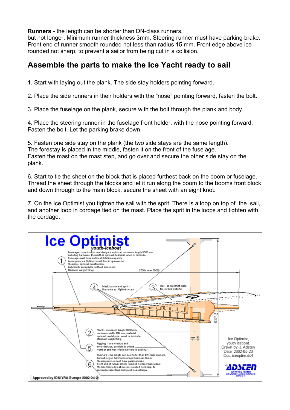**Runners** - the length can be shorter than DN-class runners,

but not longer. Minimum runner thickness 3mm. Steering runner must have parking brake. Front end of runner smooth rounded not less than radius 15 mm. Front edge above ice rounded not sharp, to prevent a sailor from being cut in a collision.

### **Assemble the parts to make the Ice Yacht ready to sail**

1. Start with laying out the plank. The side stay holders pointing forward.

2. Place the side runners in their holders with the "nose" pointing forward, fasten the bolt.

3. Place the fuselage on the plank, secure with the bolt through the plank and body.

4. Place the steering runner in the fuselage front holder, with the nose pointing forward. Fasten the bolt. Let the parking brake down.

5. Fasten one side stay on the plank (the two side stays are the same length). The forestay is placed in the middle, fasten it on the front of the fuselage. Fasten the mast on the mast step, and go over and secure the other side stay on the plank.

6. Start to tie the sheet on the block that is placed furthest back on the boom or fuselage. Thread the sheet through the blocks and let it run along the boom to the booms front block and down through to the main block, secure the sheet with an eight knot.

7. On the Ice Optimist you tighten the sail with the sprit. There is a loop on top of the sail, and another loop in cordage tied on the mast. Place the sprit in the loops and tighten with the cordage.

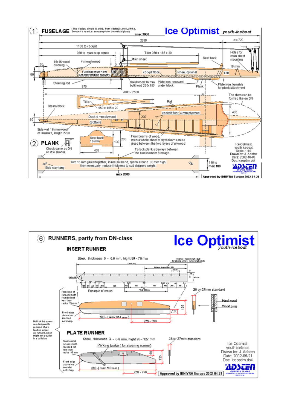

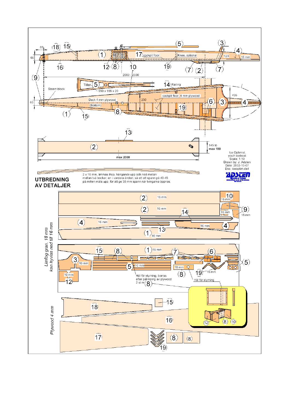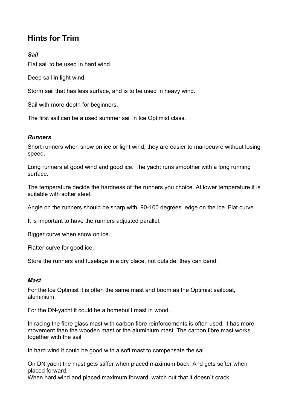## **Hints for Trim**

### *Sail*

Flat sail to be used in hard wind.

Deep sail in light wind.

Storm sail that has less surface, and is to be used in heavy wind.

Sail with more depth for beginners.

The first sail can be a used summer sail in Ice Optimist class.

#### *Runners*

Short runners when snow on ice or light wind, they are easier to manoeuvre without losing speed.

Long runners at good wind and good ice. The yacht runs smoother with a long running surface.

The temperature decide the hardness of the runners you choice. At lower temperature it is suitable with softer steel.

Angle on the runners should be sharp with 90-100 degrees edge on the ice. Flat curve.

It is important to have the runners adjusted parallel.

Bigger curve when snow on ice.

Flatter curve for good ice.

Store the runners and fuselage in a dry place, not outside, they can bend.

### *Mast*

For the Ice Optimist it is often the same mast and boom as the Optimist sailboat, aluminium.

For the DN-yacht it could be a homebuilt mast in wood.

In racing the fibre glass mast with carbon fibre reinforcements is often used, it has more movement than the wooden mast or the aluminium mast. The carbon fibre mast works together with the sail

In hard wind it could be good with a soft mast to compensate the sail.

On DN yacht the mast gets stiffer when placed maximum back. And gets softer when placed forward.

When hard wind and placed maximum forward, watch out that it doesn`t crack.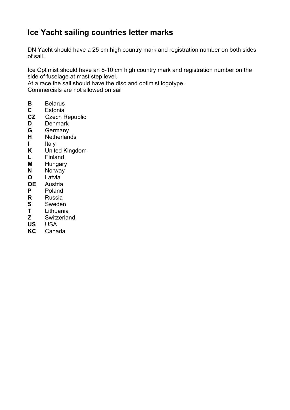# **Ice Yacht sailing countries letter marks**

DN Yacht should have a 25 cm high country mark and registration number on both sides of sail.

Ice Optimist should have an 8-10 cm high country mark and registration number on the side of fuselage at mast step level.

At a race the sail should have the disc and optimist logotype. Commercials are not allowed on sail

- **B** Belarus<br>**C** Estonia
- **C** Estonia
- **CZ** Czech Republic
- **D** Denmark
- **G** Germany
- **H** Netherlands
- **I** Italy
- **K** United Kingdom
- **L** Finland
- **M** Hungary
- **N** Norway
- **O** Latvia
- **OE** Austria
- **P** Poland
- **R** Russia
- **S** Sweden<br>**T** Lithuania
- **T** Lithuania
- **Z** Switzerland
- **US** USA
- **KC** Canada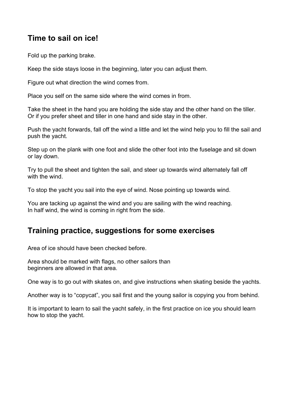## **Time to sail on ice!**

Fold up the parking brake.

Keep the side stays loose in the beginning, later you can adjust them.

Figure out what direction the wind comes from.

Place you self on the same side where the wind comes in from.

Take the sheet in the hand you are holding the side stay and the other hand on the tiller. Or if you prefer sheet and tiller in one hand and side stay in the other.

Push the yacht forwards, fall off the wind a little and let the wind help you to fill the sail and push the yacht.

Step up on the plank with one foot and slide the other foot into the fuselage and sit down or lay down.

Try to pull the sheet and tighten the sail, and steer up towards wind alternately fall off with the wind.

To stop the yacht you sail into the eye of wind. Nose pointing up towards wind.

You are tacking up against the wind and you are sailing with the wind reaching. In half wind, the wind is coming in right from the side.

### **Training practice, suggestions for some exercises**

Area of ice should have been checked before.

Area should be marked with flags, no other sailors than beginners are allowed in that area.

One way is to go out with skates on, and give instructions when skating beside the yachts.

Another way is to "copycat", you sail first and the young sailor is copying you from behind.

It is important to learn to sail the yacht safely, in the first practice on ice you should learn how to stop the yacht.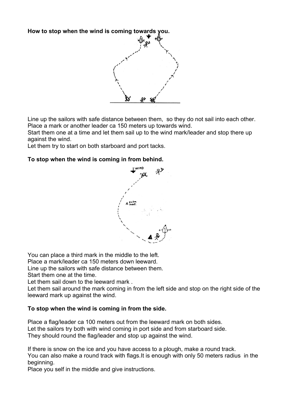**How to stop when the wind is coming towards you.**



Line up the sailors with safe distance between them, so they do not sail into each other. Place a mark or another leader ca 150 meters up towards wind.

Start them one at a time and let them sail up to the wind mark/leader and stop there up against the wind.

Let them try to start on both starboard and port tacks.

#### **To stop when the wind is coming in from behind.**



You can place a third mark in the middle to the left.

Place a mark/leader ca 150 meters down leeward.

Line up the sailors with safe distance between them.

Start them one at the time.

Let them sail down to the leeward mark .

Let them sail around the mark coming in from the left side and stop on the right side of the leeward mark up against the wind.

#### **To stop when the wind is coming in from the side.**

Place a flag/leader ca 100 meters out from the leeward mark on both sides. Let the sailors try both with wind coming in port side and from starboard side. They should round the flag/leader and stop up against the wind.

If there is snow on the ice and you have access to a plough, make a round track. You can also make a round track with flags.It is enough with only 50 meters radius in the beginning.

Place you self in the middle and give instructions.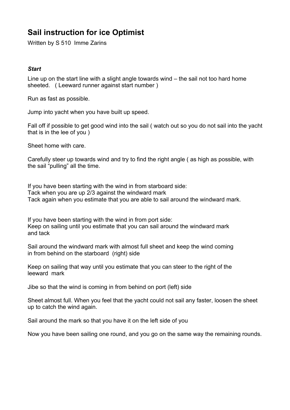## **Sail instruction for ice Optimist**

Written by S 510 Imme Zarins

#### *Start*

Line up on the start line with a slight angle towards wind – the sail not too hard home sheeted. ( Leeward runner against start number )

Run as fast as possible.

Jump into yacht when you have built up speed.

Fall off if possible to get good wind into the sail ( watch out so you do not sail into the yacht that is in the lee of you )

Sheet home with care.

Carefully steer up towards wind and try to find the right angle ( as high as possible, with the sail "pulling" all the time.

If you have been starting with the wind in from starboard side: Tack when you are up 2/3 against the windward mark Tack again when you estimate that you are able to sail around the windward mark.

If you have been starting with the wind in from port side: Keep on sailing until you estimate that you can sail around the windward mark and tack

Sail around the windward mark with almost full sheet and keep the wind coming in from behind on the starboard (right) side

Keep on sailing that way until you estimate that you can steer to the right of the leeward mark

Jibe so that the wind is coming in from behind on port (left) side

Sheet almost full. When you feel that the yacht could not sail any faster, loosen the sheet up to catch the wind again.

Sail around the mark so that you have it on the left side of you

Now you have been sailing one round, and you go on the same way the remaining rounds.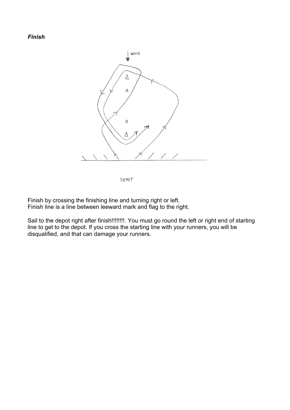*Finish*



Finish by crossing the finishing line and turning right or left. Finish line is a line between leeward mark and flag to the right.

Sail to the depot right after finish!!!!!!!!!. You must go round the left or right end of starting line to get to the depot. If you cross the starting line with your runners, you will be disqualified, and that can damage your runners.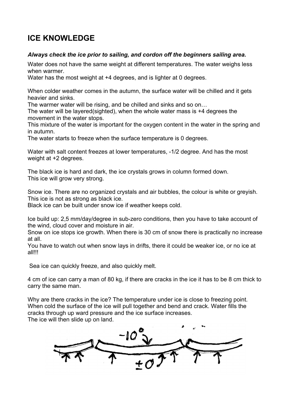## **ICE KNOWLEDGE**

#### *Always check the ice prior to sailing, and cordon off the beginners sailing area.*

Water does not have the same weight at different temperatures. The water weighs less when warmer.

Water has the most weight at  $+4$  degrees, and is lighter at 0 degrees.

When colder weather comes in the autumn, the surface water will be chilled and it gets heavier and sinks.

The warmer water will be rising, and be chilled and sinks and so on…

The water will be layered(sighted), when the whole water mass is +4 degrees the movement in the water stops.

This mixture of the water is important for the oxygen content in the water in the spring and in autumn.

The water starts to freeze when the surface temperature is 0 degrees.

Water with salt content freezes at lower temperatures, -1/2 degree. And has the most weight at +2 degrees.

The black ice is hard and dark, the ice crystals grows in column formed down. This ice will grow very strong.

Snow ice. There are no organized crystals and air bubbles, the colour is white or greyish. This ice is not as strong as black ice.

Black ice can be built under snow ice if weather keeps cold.

Ice build up: 2,5 mm/day/degree in sub-zero conditions, then you have to take account of the wind, cloud cover and moisture in air.

Snow on ice stops ice growth. When there is 30 cm of snow there is practically no increase at all.

You have to watch out when snow lays in drifts, there it could be weaker ice, or no ice at all!!!

Sea ice can quickly freeze, and also quickly melt.

4 cm of ice can carry a man of 80 kg, if there are cracks in the ice it has to be 8 cm thick to carry the same man.

Why are there cracks in the ice? The temperature under ice is close to freezing point. When cold the surface of the ice will pull together and bend and crack. Water fills the cracks through up ward pressure and the ice surface increases.

The ice will then slide up on land.

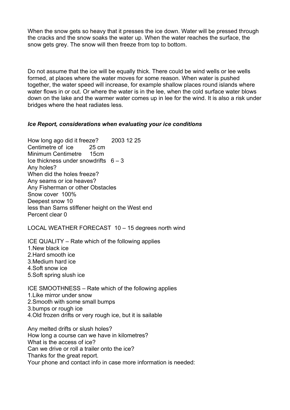When the snow gets so heavy that it presses the ice down. Water will be pressed through the cracks and the snow soaks the water up. When the water reaches the surface, the snow gets grey. The snow will then freeze from top to bottom.

Do not assume that the ice will be equally thick. There could be wind wells or lee wells formed, at places where the water moves for some reason. When water is pushed together, the water speed will increase, for example shallow places round islands where water flows in or out. Or where the water is in the lee, when the cold surface water blows down on the lake and the warmer water comes up in lee for the wind. It is also a risk under bridges where the heat radiates less.

#### *Ice Report, considerations when evaluating your ice conditions*

How long ago did it freeze? 2003 12 25 Centimetre of ice 25 cm Minimum Centimetre 15cm Ice thickness under snowdrifts  $6 - 3$ Any holes? When did the holes freeze? Any seams or ice heaves? Any Fisherman or other Obstacles Snow cover 100% Deepest snow 10 less than Sarns stiffener height on the West end Percent clear 0

LOCAL WEATHER FORECAST 10 – 15 degrees north wind

ICE QUALITY – Rate which of the following applies 1.New black ice 2.Hard smooth ice 3.Medium hard ice 4.Soft snow ice 5.Soft spring slush ice

ICE SMOOTHNESS – Rate which of the following applies 1.Like mirror under snow 2.Smooth with some small bumps

3.bumps or rough ice

4.Old frozen drifts or very rough ice, but it is sailable

Any melted drifts or slush holes? How long a course can we have in kilometres? What is the access of ice? Can we drive or roll a trailer onto the ice? Thanks for the great report. Your phone and contact info in case more information is needed: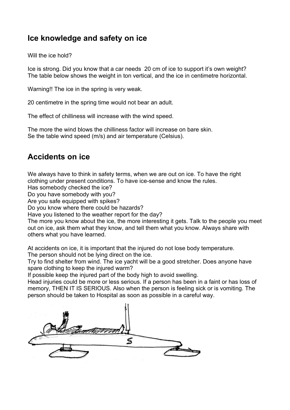### **Ice knowledge and safety on ice**

Will the ice hold?

Ice is strong. Did you know that a car needs 20 cm of ice to support it's own weight? The table below shows the weight in ton vertical, and the ice in centimetre horizontal.

Warning!! The ice in the spring is very weak.

20 centimetre in the spring time would not bear an adult.

The effect of chilliness will increase with the wind speed.

The more the wind blows the chilliness factor will increase on bare skin. Se the table wind speed (m/s) and air temperature (Celsius).

## **Accidents on ice**

We always have to think in safety terms, when we are out on ice. To have the right clothing under present conditions. To have ice-sense and know the rules.

Has somebody checked the ice?

Do you have somebody with you?

Are you safe equipped with spikes?

Do you know where there could be hazards?

Have you listened to the weather report for the day?

The more you know about the ice, the more interesting it gets. Talk to the people you meet out on ice, ask them what they know, and tell them what you know. Always share with others what you have learned.

At accidents on ice, it is important that the injured do not lose body temperature.

The person should not be lying direct on the ice.

Try to find shelter from wind. The ice yacht will be a good stretcher. Does anyone have spare clothing to keep the injured warm?

If possible keep the injured part of the body high to avoid swelling.

Head injuries could be more or less serious. If a person has been in a faint or has loss of memory, THEN IT IS SERIOUS. Also when the person is feeling sick or is vomiting. The person should be taken to Hospital as soon as possible in a careful way.

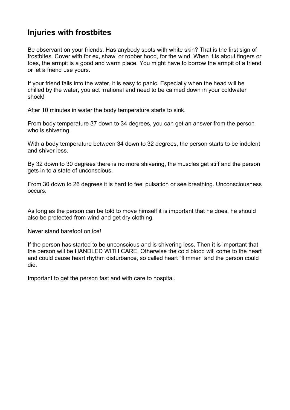## **Injuries with frostbites**

Be observant on your friends. Has anybody spots with white skin? That is the first sign of frostbites. Cover with for ex, shawl or robber hood, for the wind. When it is about fingers or toes, the armpit is a good and warm place. You might have to borrow the armpit of a friend or let a friend use yours.

If your friend falls into the water, it is easy to panic. Especially when the head will be chilled by the water, you act irrational and need to be calmed down in your coldwater shock!

After 10 minutes in water the body temperature starts to sink.

From body temperature 37 down to 34 degrees, you can get an answer from the person who is shivering.

With a body temperature between 34 down to 32 degrees, the person starts to be indolent and shiver less.

By 32 down to 30 degrees there is no more shivering, the muscles get stiff and the person gets in to a state of unconscious.

From 30 down to 26 degrees it is hard to feel pulsation or see breathing. Unconsciousness occurs.

As long as the person can be told to move himself it is important that he does, he should also be protected from wind and get dry clothing.

Never stand barefoot on ice!

If the person has started to be unconscious and is shivering less. Then it is important that the person will be HANDLED WITH CARE. Otherwise the cold blood will come to the heart and could cause heart rhythm disturbance, so called heart "flimmer" and the person could die.

Important to get the person fast and with care to hospital.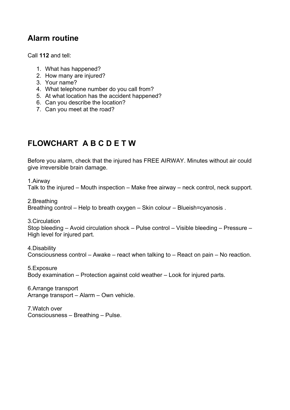## **Alarm routine**

Call **112** and tell:

- 1. What has happened?
- 2. How many are injured?
- 3. Your name?
- 4. What telephone number do you call from?
- 5. At what location has the accident happened?
- 6. Can you describe the location?
- 7. Can you meet at the road?

# **FLOWCHART A B C D E T W**

Before you alarm, check that the injured has FREE AIRWAY. Minutes without air could give irreversible brain damage.

1.Airway

Talk to the injured – Mouth inspection – Make free airway – neck control, neck support.

2.Breathing Breathing control – Help to breath oxygen – Skin colour – Blueish=cyanosis .

3.Circulation

Stop bleeding – Avoid circulation shock – Pulse control – Visible bleeding – Pressure – High level for injured part.

4.Disability Consciousness control – Awake – react when talking to – React on pain – No reaction.

5.Exposure Body examination – Protection against cold weather – Look for injured parts.

6.Arrange transport Arrange transport – Alarm – Own vehicle.

7.Watch over Consciousness – Breathing – Pulse.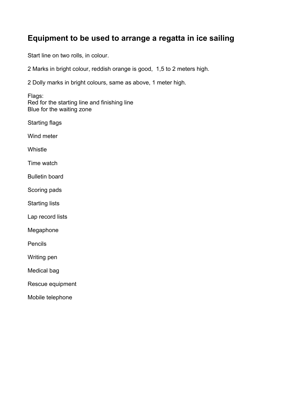## **Equipment to be used to arrange a regatta in ice sailing**

Start line on two rolls, in colour.

2 Marks in bright colour, reddish orange is good, 1,5 to 2 meters high.

2 Dolly marks in bright colours, same as above, 1 meter high.

Flags: Red for the starting line and finishing line Blue for the waiting zone

Starting flags

Wind meter

Whistle

Time watch

Bulletin board

Scoring pads

Starting lists

Lap record lists

Megaphone

Pencils

Writing pen

Medical bag

Rescue equipment

Mobile telephone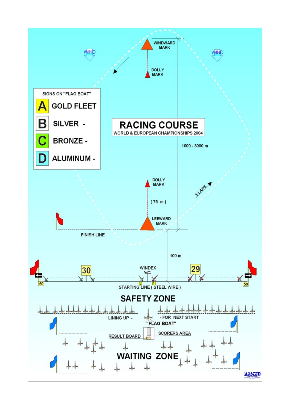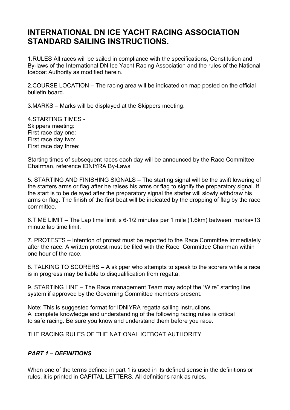## **INTERNATIONAL DN ICE YACHT RACING ASSOCIATION STANDARD SAILING INSTRUCTIONS.**

1.RULES All races will be sailed in compliance with the specifications, Constitution and By-laws of the International DN Ice Yacht Racing Association and the rules of the National Iceboat Authority as modified herein.

2.COURSE LOCATION – The racing area will be indicated on map posted on the official bulletin board.

3.MARKS – Marks will be displayed at the Skippers meeting.

4.STARTING TIMES - Skippers meeting: First race day one: First race day two: First race day three:

Starting times of subsequent races each day will be announced by the Race Committee Chairman, reference IDNIYRA By-Laws

5. STARTING AND FINISHING SIGNALS – The starting signal will be the swift lowering of the starters arms or flag after he raises his arms or flag to signify the preparatory signal. If the start is to be delayed after the preparatory signal the starter will slowly withdraw his arms or flag. The finish of the first boat will be indicated by the dropping of flag by the race committee.

6.TIME LIMIT – The Lap time limit is 6-1/2 minutes per 1 mile (1.6km) between marks=13 minute lap time limit.

7. PROTESTS – Intention of protest must be reported to the Race Committee immediately after the race. A written protest must be filed with the Race Committee Chairman within one hour of the race.

8. TALKING TO SCORERS – A skipper who attempts to speak to the scorers while a race is in progress may be liable to disqualification from regatta.

9. STARTING LINE – The Race management Team may adopt the "Wire" starting line system if approved by the Governing Committee members present.

Note: This is suggested format for IDNIYRA regatta sailing instructions. A complete knowledge and understanding of the following racing rules is critical to safe racing. Be sure you know and understand them before you race.

THE RACING RULES OF THE NATIONAL ICEBOAT AUTHORITY

### *PART 1 – DEFINITIONS*

When one of the terms defined in part 1 is used in its defined sense in the definitions or rules, it is printed in CAPITAL LETTERS. All definitions rank as rules.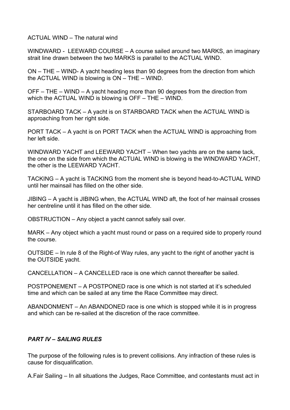ACTUAL WIND – The natural wind

WINDWARD - LEEWARD COURSE – A course sailed around two MARKS, an imaginary strait line drawn between the two MARKS is parallel to the ACTUAL WIND.

ON – THE – WIND- A yacht heading less than 90 degrees from the direction from which the ACTUAL WIND is blowing is ON – THE – WIND.

OFF – THE – WIND – A yacht heading more than 90 degrees from the direction from which the ACTUAL WIND is blowing is OFF – THE – WIND.

STARBOARD TACK – A yacht is on STARBOARD TACK when the ACTUAL WIND is approaching from her right side.

PORT TACK – A yacht is on PORT TACK when the ACTUAL WIND is approaching from her left side.

WINDWARD YACHT and LEEWARD YACHT – When two yachts are on the same tack, the one on the side from which the ACTUAL WIND is blowing is the WINDWARD YACHT, the other is the LEEWARD YACHT.

TACKING – A yacht is TACKING from the moment she is beyond head-to-ACTUAL WIND until her mainsail has filled on the other side.

JIBING – A yacht is JIBING when, the ACTUAL WIND aft, the foot of her mainsail crosses her centreline until it has filled on the other side.

OBSTRUCTION – Any object a yacht cannot safely sail over.

MARK – Any object which a yacht must round or pass on a required side to properly round the course.

OUTSIDE – In rule 8 of the Right-of Way rules, any yacht to the right of another yacht is the OUTSIDE yacht.

CANCELLATION – A CANCELLED race is one which cannot thereafter be sailed.

POSTPONEMENT – A POSTPONED race is one which is not started at it's scheduled time and which can be sailed at any time the Race Committee may direct.

ABANDONMENT – An ABANDONED race is one which is stopped while it is in progress and which can be re-sailed at the discretion of the race committee.

### *PART lV – SAILING RULES*

The purpose of the following rules is to prevent collisions. Any infraction of these rules is cause for disqualification.

A.Fair Sailing – In all situations the Judges, Race Committee, and contestants must act in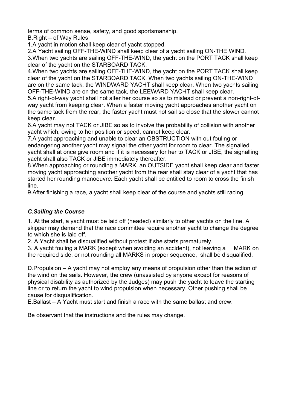terms of common sense, safety, and good sportsmanship.

B.Right – of Way Rules

1.A yacht in motion shall keep clear of yacht stopped.

2.A Yacht sailing OFF-THE-WIND shall keep clear of a yacht sailing ON-THE WIND. 3.When two yachts are sailing OFF-THE-WIND, the yacht on the PORT TACK shall keep clear of the yacht on the STARBOARD TACK.

4.When two yachts are sailing OFF-THE-WIND, the yacht on the PORT TACK shall keep clear of the yacht on the STARBOARD TACK. When two yachts sailing ON-THE-WIND are on the same tack, the WINDWARD YACHT shall keep clear. When two yachts sailing OFF-THE-WIND are on the same tack, the LEEWARD YACHT shall keep clear.

5.A right-of-way yacht shall not alter her course so as to mislead or prevent a non-right-ofway yacht from keeping clear. When a faster moving yacht approaches another yacht on the same tack from the rear, the faster yacht must not sail so close that the slower cannot keep clear.

6.A yacht may not TACK or JIBE so as to involve the probability of collision with another yacht which, owing to her position or speed, cannot keep clear.

7.A yacht approaching and unable to clear an OBSTRUCTION with out fouling or endangering another yacht may signal the other yacht for room to clear. The signalled yacht shall at once give room and if it is necessary for her to TACK or JIBE, the signalling yacht shall also TACK or JIBE immediately thereafter.

8.When approaching or rounding a MARK, an OUTSIDE yacht shall keep clear and faster moving yacht approaching another yacht from the rear shall stay clear of a yacht that has started her rounding manoeuvre. Each yacht shall be entitled to room to cross the finish line.

9.After finishing a race, a yacht shall keep clear of the course and yachts still racing.

### *C.Sailing the Course*

1. At the start, a yacht must be laid off (headed) similarly to other yachts on the line. A skipper may demand that the race committee require another yacht to change the degree to which she is laid off.

2. A Yacht shall be disqualified without protest if she starts prematurely.

3. A yacht fouling a MARK (except when avoiding an accident), not leaving a MARK on the required side, or not rounding all MARKS in proper sequence, shall be disqualified.

D.Propulsion – A yacht may not employ any means of propulsion other than the action of the wind on the sails. However, the crew (unassisted by anyone except for reasons of physical disability as authorized by the Judges) may push the yacht to leave the starting line or to return the yacht to wind propulsion when necessary. Other pushing shall be cause for disqualification.

E.Ballast – A Yacht must start and finish a race with the same ballast and crew.

Be observant that the instructions and the rules may change.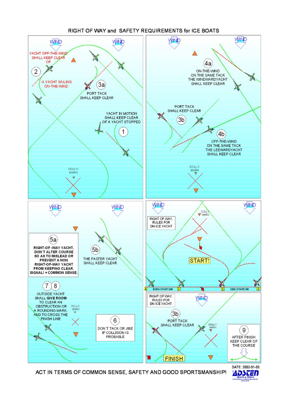

ACT IN TERMS OF COMMON SENSE, SAFETY AND GOOD SPORTSMANSHIP!